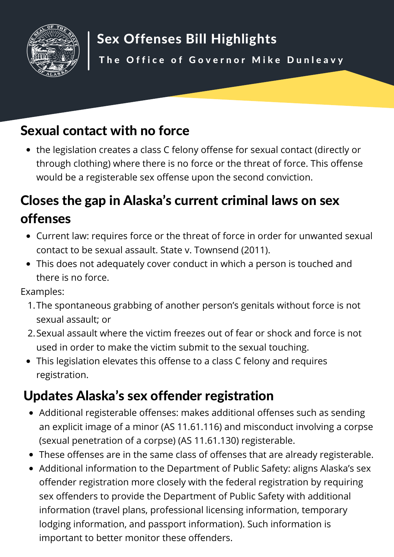

## Sexual contact with no force

the legislation creates a class C felony offense for sexual contact (directly or through clothing) where there is no force or the threat of force. This offense would be a registerable sex offense upon the second conviction.

## Closes the gap in Alaska's current criminal laws on sex offenses

- Current law: requires force or the threat of force in order for unwanted sexual contact to be sexual assault. State v. Townsend (2011).
- This does not adequately cover conduct in which a person is touched and there is no force.

Examples:

- The spontaneous grabbing of another person's genitals without force is not 1. sexual assault; or
- 2. Sexual assault where the victim freezes out of fear or shock and force is not used in order to make the victim submit to the sexual touching.
- This legislation elevates this offense to a class C felony and requires registration.

## Updates Alaska's sex offender registration

- Additional registerable offenses: makes additional offenses such as sending an explicit image of a minor (AS 11.61.116) and misconduct involving a corpse (sexual penetration of a corpse) (AS 11.61.130) registerable.
- These offenses are in the same class of offenses that are already registerable.
- Additional information to the Department of Public Safety: aligns Alaska's sex offender registration more closely with the federal registration by requiring sex offenders to provide the Department of Public Safety with additional information (travel plans, professional licensing information, temporary lodging information, and passport information). Such information is important to better monitor these offenders.